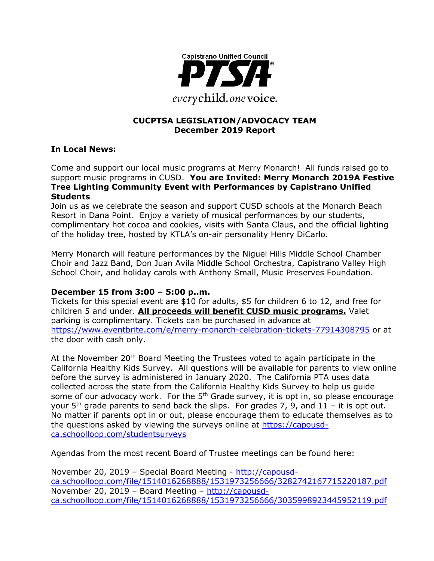

### **CUCPTSA LEGISLATION/ADVOCACY TEAM December 2019 Report**

### **In Local News:**

Come and support our local music programs at Merry Monarch! All funds raised go to support music programs in CUSD. **You are Invited: Merry Monarch 2019A Festive Tree Lighting Community Event with Performances by Capistrano Unified Students** 

Join us as we celebrate the season and support CUSD schools at the Monarch Beach Resort in Dana Point. Enjoy a variety of musical performances by our students, complimentary hot cocoa and cookies, visits with Santa Claus, and the official lighting of the holiday tree, hosted by KTLA's on-air personality Henry DiCarlo.

Merry Monarch will feature performances by the Niguel Hills Middle School Chamber Choir and Jazz Band, Don Juan Avila Middle School Orchestra, Capistrano Valley High School Choir, and holiday carols with Anthony Small, Music Preserves Foundation.

### **December 15 from 3:00 – 5:00 p..m.**

Tickets for this special event are \$10 for adults, \$5 for children 6 to 12, and free for children 5 and under. **All proceeds will benefit CUSD music programs.** Valet parking is complimentary. Tickets can be purchased in advance at <https://www.eventbrite.com/e/merry-monarch-celebration-tickets-77914308795> or at the door with cash only.

At the November 20<sup>th</sup> Board Meeting the Trustees voted to again participate in the California Healthy Kids Survey. All questions will be available for parents to view online before the survey is administered in January 2020. The California PTA uses data collected across the state from the California Healthy Kids Survey to help us guide some of our advocacy work. For the 5<sup>th</sup> Grade survey, it is opt in, so please encourage your  $5<sup>th</sup>$  grade parents to send back the slips. For grades 7, 9, and 11 – it is opt out. No matter if parents opt in or out, please encourage them to educate themselves as to the questions asked by viewing the surveys online at [https://capousd](https://capousd-ca.schoolloop.com/studentsurveys)[ca.schoolloop.com/studentsurveys](https://capousd-ca.schoolloop.com/studentsurveys)

Agendas from the most recent Board of Trustee meetings can be found here:

November 20, 2019 – Special Board Meeting - [http://capousd](http://capousd-ca.schoolloop.com/file/1514016268888/1531973256666/3282742167715220187.pdf)[ca.schoolloop.com/file/1514016268888/1531973256666/3282742167715220187.pdf](http://capousd-ca.schoolloop.com/file/1514016268888/1531973256666/3282742167715220187.pdf) November 20, 2019 – Board Meeting – [http://capousd](http://capousd-ca.schoolloop.com/file/1514016268888/1531973256666/3035998923445952119.pdf)[ca.schoolloop.com/file/1514016268888/1531973256666/3035998923445952119.pdf](http://capousd-ca.schoolloop.com/file/1514016268888/1531973256666/3035998923445952119.pdf)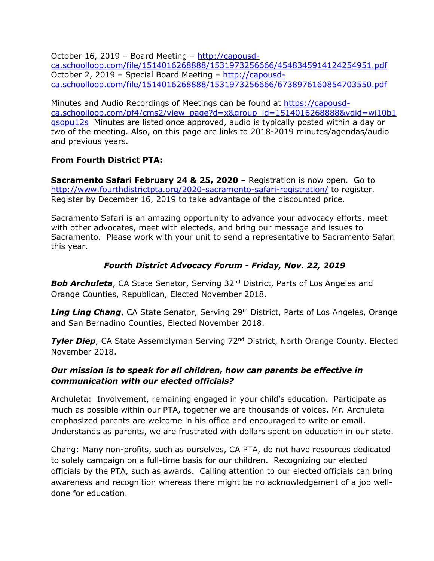October 16, 2019 – Board Meeting – [http://capousd](http://capousd-ca.schoolloop.com/file/1514016268888/1531973256666/4548345914124254951.pdf)[ca.schoolloop.com/file/1514016268888/1531973256666/4548345914124254951.pdf](http://capousd-ca.schoolloop.com/file/1514016268888/1531973256666/4548345914124254951.pdf) October 2, 2019 – Special Board Meeting – [http://capousd](http://capousd-ca.schoolloop.com/file/1514016268888/1531973256666/6738976160854703550.pdf)[ca.schoolloop.com/file/1514016268888/1531973256666/6738976160854703550.pdf](http://capousd-ca.schoolloop.com/file/1514016268888/1531973256666/6738976160854703550.pdf)

Minutes and Audio Recordings of Meetings can be found at [https://capousd](https://capousd-ca.schoolloop.com/pf4/cms2/view_page?d=x&group_id=1514016268888&vdid=wi10b1qsopu12s)[ca.schoolloop.com/pf4/cms2/view\\_page?d=x&group\\_id=1514016268888&vdid=wi10b1](https://capousd-ca.schoolloop.com/pf4/cms2/view_page?d=x&group_id=1514016268888&vdid=wi10b1qsopu12s) [qsopu12s](https://capousd-ca.schoolloop.com/pf4/cms2/view_page?d=x&group_id=1514016268888&vdid=wi10b1qsopu12s) Minutes are listed once approved, audio is typically posted within a day or two of the meeting. Also, on this page are links to 2018-2019 minutes/agendas/audio and previous years.

## **From Fourth District PTA:**

**Sacramento Safari February 24 & 25, 2020** – Registration is now open. Go to <http://www.fourthdistrictpta.org/2020-sacramento-safari-registration/> to register. Register by December 16, 2019 to take advantage of the discounted price.

Sacramento Safari is an amazing opportunity to advance your advocacy efforts, meet with other advocates, meet with electeds, and bring our message and issues to Sacramento. Please work with your unit to send a representative to Sacramento Safari this year.

## *Fourth District Advocacy Forum - Friday, Nov. 22, 2019*

**Bob Archuleta**, CA State Senator, Serving 32<sup>nd</sup> District, Parts of Los Angeles and Orange Counties, Republican, Elected November 2018.

**Ling Ling Chang**, CA State Senator, Serving 29<sup>th</sup> District, Parts of Los Angeles, Orange and San Bernadino Counties, Elected November 2018.

**Tyler Diep**, CA State Assemblyman Serving 72<sup>nd</sup> District, North Orange County. Elected November 2018.

## *Our mission is to speak for all children, how can parents be effective in communication with our elected officials?*

Archuleta: Involvement, remaining engaged in your child's education. Participate as much as possible within our PTA, together we are thousands of voices. Mr. Archuleta emphasized parents are welcome in his office and encouraged to write or email. Understands as parents, we are frustrated with dollars spent on education in our state.

Chang: Many non-profits, such as ourselves, CA PTA, do not have resources dedicated to solely campaign on a full-time basis for our children. Recognizing our elected officials by the PTA, such as awards. Calling attention to our elected officials can bring awareness and recognition whereas there might be no acknowledgement of a job welldone for education.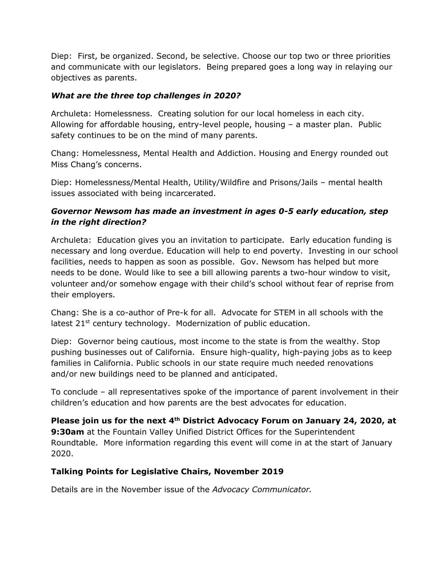Diep: First, be organized. Second, be selective. Choose our top two or three priorities and communicate with our legislators. Being prepared goes a long way in relaying our objectives as parents.

### *What are the three top challenges in 2020?*

Archuleta: Homelessness. Creating solution for our local homeless in each city. Allowing for affordable housing, entry-level people, housing – a master plan. Public safety continues to be on the mind of many parents.

Chang: Homelessness, Mental Health and Addiction. Housing and Energy rounded out Miss Chang's concerns.

Diep: Homelessness/Mental Health, Utility/Wildfire and Prisons/Jails – mental health issues associated with being incarcerated.

## *Governor Newsom has made an investment in ages 0-5 early education, step in the right direction?*

Archuleta: Education gives you an invitation to participate. Early education funding is necessary and long overdue. Education will help to end poverty. Investing in our school facilities, needs to happen as soon as possible. Gov. Newsom has helped but more needs to be done. Would like to see a bill allowing parents a two-hour window to visit, volunteer and/or somehow engage with their child's school without fear of reprise from their employers.

Chang: She is a co-author of Pre-k for all. Advocate for STEM in all schools with the latest 21<sup>st</sup> century technology. Modernization of public education.

Diep: Governor being cautious, most income to the state is from the wealthy. Stop pushing businesses out of California. Ensure high-quality, high-paying jobs as to keep families in California. Public schools in our state require much needed renovations and/or new buildings need to be planned and anticipated.

To conclude – all representatives spoke of the importance of parent involvement in their children's education and how parents are the best advocates for education.

**Please join us for the next 4th District Advocacy Forum on January 24, 2020, at 9:30am** at the Fountain Valley Unified District Offices for the Superintendent Roundtable. More information regarding this event will come in at the start of January 2020.

## **Talking Points for Legislative Chairs, November 2019**

Details are in the November issue of the *Advocacy Communicator.*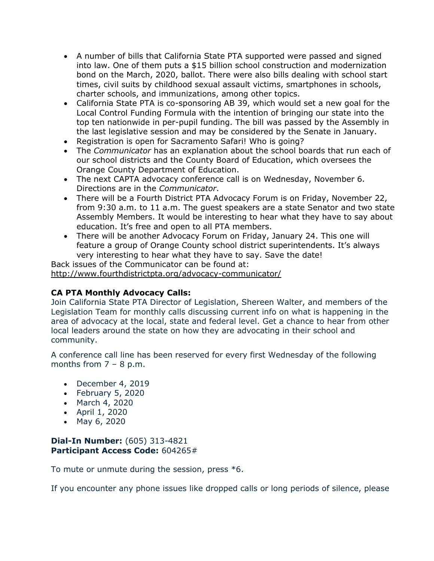- A number of bills that California State PTA supported were passed and signed into law. One of them puts a \$15 billion school construction and modernization bond on the March, 2020, ballot. There were also bills dealing with school start times, civil suits by childhood sexual assault victims, smartphones in schools, charter schools, and immunizations, among other topics.
- California State PTA is co-sponsoring AB 39, which would set a new goal for the Local Control Funding Formula with the intention of bringing our state into the top ten nationwide in per-pupil funding. The bill was passed by the Assembly in the last legislative session and may be considered by the Senate in January.
- Registration is open for Sacramento Safari! Who is going?
- The *Communicator* has an explanation about the school boards that run each of our school districts and the County Board of Education, which oversees the Orange County Department of Education.
- The next CAPTA advocacy conference call is on Wednesday, November 6. Directions are in the *Communicator*.
- There will be a Fourth District PTA Advocacy Forum is on Friday, November 22, from 9:30 a.m. to 11 a.m. The guest speakers are a state Senator and two state Assembly Members. It would be interesting to hear what they have to say about education. It's free and open to all PTA members.
- There will be another Advocacy Forum on Friday, January 24. This one will feature a group of Orange County school district superintendents. It's always very interesting to hear what they have to say. Save the date!

Back issues of the Communicator can be found at: <http://www.fourthdistrictpta.org/advocacy-communicator/>

## **CA PTA Monthly Advocacy Calls:**

Join California State PTA Director of Legislation, Shereen Walter, and members of the Legislation Team for monthly calls discussing current info on what is happening in the area of advocacy at the local, state and federal level. Get a chance to hear from other local leaders around the state on how they are advocating in their school and community.

A conference call line has been reserved for every first Wednesday of the following months from  $7 - 8$  p.m.

- December 4, 2019
- February 5, 2020
- March 4, 2020
- April 1, 2020
- May 6, 2020

### **Dial-In Number:** (605) 313-4821 **Participant Access Code:** 604265#

To mute or unmute during the session, press \*6.

If you encounter any phone issues like dropped calls or long periods of silence, please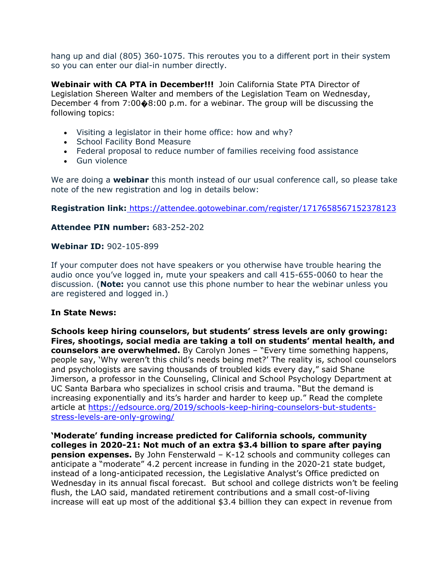hang up and dial (805) 360-1075. This reroutes you to a different port in their system so you can enter our dial-in number directly.

**Webinair with CA PTA in December!!!** Join California State PTA Director of Legislation Shereen Walter and members of the Legislation Team on Wednesday, December 4 from 7:00 $\diamond$ 8:00 p.m. for a webinar. The group will be discussing the following topics:

- Visiting a legislator in their home office: how and why?
- School Facility Bond Measure
- Federal proposal to reduce number of families receiving food assistance
- Gun violence

We are doing a **webinar** this month instead of our usual conference call, so please take note of the new registration and log in details below:

**Registration link:** [https://attendee.gotowebinar.com/register/1717658567152378123](http://capta.benchurl.com/c/l?u=9658342&e=F31627&c=4592C&t=0&l=2619006E&email=TepeYfBsuqqthho6K9B9EXzBjzlZ2TJR&seq=1)

### **Attendee PIN number:** 683-252-202

#### **Webinar ID:** 902-105-899

If your computer does not have speakers or you otherwise have trouble hearing the audio once you've logged in, mute your speakers and call 415-655-0060 to hear the discussion. (**Note:** you cannot use this phone number to hear the webinar unless you are registered and logged in.)

#### **In State News:**

**Schools keep hiring counselors, but students' stress levels are only growing: Fires, shootings, social media are taking a toll on students' mental health, and counselors are overwhelmed.** By Carolyn Jones – "Every time something happens, people say, 'Why weren't this child's needs being met?' The reality is, school counselors and psychologists are saving thousands of troubled kids every day," said Shane Jimerson, a professor in the Counseling, Clinical and School Psychology Department at UC Santa Barbara who specializes in school crisis and trauma. "But the demand is increasing exponentially and its's harder and harder to keep up." Read the complete article at [https://edsource.org/2019/schools-keep-hiring-counselors-but-students](https://edsource.org/2019/schools-keep-hiring-counselors-but-students-stress-levels-are-only-growing/)[stress-levels-are-only-growing/](https://edsource.org/2019/schools-keep-hiring-counselors-but-students-stress-levels-are-only-growing/)

**'Moderate' funding increase predicted for California schools, community colleges in 2020-21: Not much of an extra \$3.4 billion to spare after paying pension expenses.** By John Fensterwald – K-12 schools and community colleges can anticipate a "moderate" 4.2 percent increase in funding in the 2020-21 state budget, instead of a long-anticipated recession, the Legislative Analyst's Office predicted on Wednesday in its annual fiscal forecast. But school and college districts won't be feeling flush, the LAO said, mandated retirement contributions and a small cost-of-living increase will eat up most of the additional \$3.4 billion they can expect in revenue from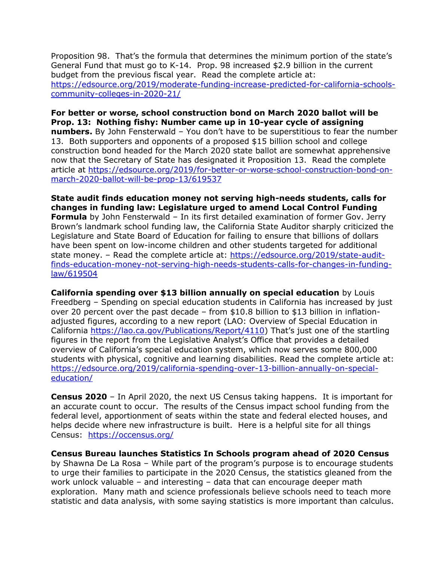Proposition 98. That's the formula that determines the minimum portion of the state's General Fund that must go to K-14. Prop. 98 increased \$2.9 billion in the current budget from the previous fiscal year. Read the complete article at: [https://edsource.org/2019/moderate-funding-increase-predicted-for-california-schools](https://edsource.org/2019/moderate-funding-increase-predicted-for-california-schools-community-colleges-in-2020-21/)[community-colleges-in-2020-21/](https://edsource.org/2019/moderate-funding-increase-predicted-for-california-schools-community-colleges-in-2020-21/)

**For better or worse, school construction bond on March 2020 ballot will be Prop. 13: Nothing fishy: Number came up in 10-year cycle of assigning numbers.** By John Fensterwald – You don't have to be superstitious to fear the number 13. Both supporters and opponents of a proposed \$15 billion school and college construction bond headed for the March 2020 state ballot are somewhat apprehensive now that the Secretary of State has designated it Proposition 13. Read the complete article at [https://edsource.org/2019/for-better-or-worse-school-construction-bond-on](https://edsource.org/2019/for-better-or-worse-school-construction-bond-on-march-2020-ballot-will-be-prop-13/619537)[march-2020-ballot-will-be-prop-13/619537](https://edsource.org/2019/for-better-or-worse-school-construction-bond-on-march-2020-ballot-will-be-prop-13/619537)

**State audit finds education money not serving high-needs students, calls for changes in funding law: Legislature urged to amend Local Control Funding Formula** by John Fensterwald – In its first detailed examination of former Gov. Jerry Brown's landmark school funding law, the California State Auditor sharply criticized the Legislature and State Board of Education for failing to ensure that billions of dollars have been spent on low-income children and other students targeted for additional state money. – Read the complete article at: [https://edsource.org/2019/state-audit](https://edsource.org/2019/state-audit-finds-education-money-not-serving-high-needs-students-calls-for-changes-in-funding-law/619504)[finds-education-money-not-serving-high-needs-students-calls-for-changes-in-funding](https://edsource.org/2019/state-audit-finds-education-money-not-serving-high-needs-students-calls-for-changes-in-funding-law/619504)[law/619504](https://edsource.org/2019/state-audit-finds-education-money-not-serving-high-needs-students-calls-for-changes-in-funding-law/619504)

**California spending over \$13 billion annually on special education** by Louis Freedberg – Spending on special education students in California has increased by just over 20 percent over the past decade – from \$10.8 billion to \$13 billion in inflationadjusted figures, according to a new report (LAO: Overview of Special Education in California [https://lao.ca.gov/Publications/Report/4110\)](https://lao.ca.gov/Publications/Report/4110) That's just one of the startling figures in the report from the Legislative Analyst's Office that provides a detailed overview of California's special education system, which now serves some 800,000 students with physical, cognitive and learning disabilities. Read the complete article at: [https://edsource.org/2019/california-spending-over-13-billion-annually-on-special](https://edsource.org/2019/california-spending-over-13-billion-annually-on-special-education/)[education/](https://edsource.org/2019/california-spending-over-13-billion-annually-on-special-education/)

**Census 2020** – In April 2020, the next US Census taking happens. It is important for an accurate count to occur. The results of the Census impact school funding from the federal level, apportionment of seats within the state and federal elected houses, and helps decide where new infrastructure is built. Here is a helpful site for all things Census: <https://occensus.org/>

**Census Bureau launches Statistics In Schools program ahead of 2020 Census**  by Shawna De La Rosa – While part of the program's purpose is to encourage students to urge their families to participate in the 2020 Census, the statistics gleaned from the work unlock valuable – and interesting – data that can encourage deeper math exploration. Many math and science professionals believe schools need to teach more statistic and data analysis, with some saying statistics is more important than calculus.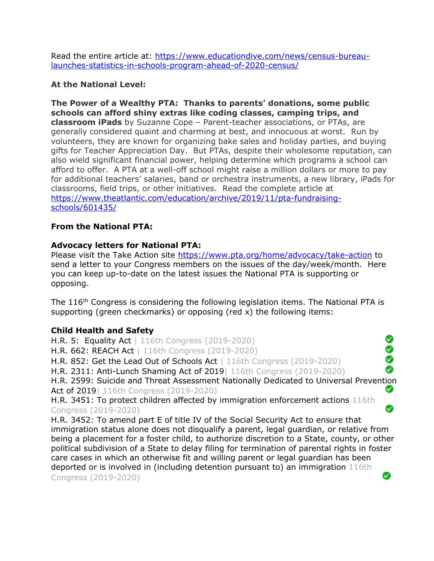Read the entire article at: [https://www.educationdive.com/news/census-bureau](https://www.educationdive.com/news/census-bureau-launches-statistics-in-schools-program-ahead-of-2020-census/)[launches-statistics-in-schools-program-ahead-of-2020-census/](https://www.educationdive.com/news/census-bureau-launches-statistics-in-schools-program-ahead-of-2020-census/)

### **At the National Level:**

**The Power of a Wealthy PTA: Thanks to parents' donations, some public schools can afford shiny extras like coding classes, camping trips, and classroom iPads** by Suzanne Cope – Parent-teacher associations, or PTAs, are generally considered quaint and charming at best, and innocuous at worst. Run by volunteers, they are known for organizing bake sales and holiday parties, and buying gifts for Teacher Appreciation Day. But PTAs, despite their wholesome reputation, can also wield significant financial power, helping determine which programs a school can afford to offer. A PTA at a well-off school might raise a million dollars or more to pay for additional teachers' salaries, band or orchestra instruments, a new library, iPads for classrooms, field trips, or other initiatives. Read the complete article at [https://www.theatlantic.com/education/archive/2019/11/pta-fundraising](https://www.theatlantic.com/education/archive/2019/11/pta-fundraising-schools/601435/)[schools/601435/](https://www.theatlantic.com/education/archive/2019/11/pta-fundraising-schools/601435/)

### **From the National PTA:**

### **Advocacy letters for National PTA:**

Please visit the Take Action site<https://www.pta.org/home/advocacy/take-action> to send a letter to your Congress members on the issues of the day/week/month. Here you can keep up-to-date on the latest issues the National PTA is supporting or opposing.

The 116<sup>th</sup> Congress is considering the following legislation items. The National PTA is supporting (green checkmarks) or opposing (red x) the following items:

### **Child Health and Safety**

Ø H.R. 5: Equality Act | 116th Congress (2019-2020) ŏ H.R. 662: REACH Act | 116th Congress (2019-2020) ◙ H.R. 852: Get the Lead Out of Schools Act | 116th Congress (2019-2020) Ø H.R. 2311: Anti-Lunch Shaming Act of 2019| 116th Congress (2019-2020) H.R. 2599: Suicide and Threat Assessment Nationally Dedicated to Universal Prevention Ø Act of 2019 | 116th Congress (2019-2020) H.R. 3451: To protect children affected by immigration enforcement actions 116th Ø Congress (2019-2020) H.R. 3452: To amend part E of title IV of the Social Security Act to ensure that immigration status alone does not disqualify a parent, legal guardian, or relative from being a placement for a foster child, to authorize discretion to a State, county, or other political subdivision of a State to delay filing for termination of parental rights in foster care cases in which an otherwise fit and willing parent or legal guardian has been deported or is involved in (including detention pursuant to) an immigration 116th Congress (2019-2020)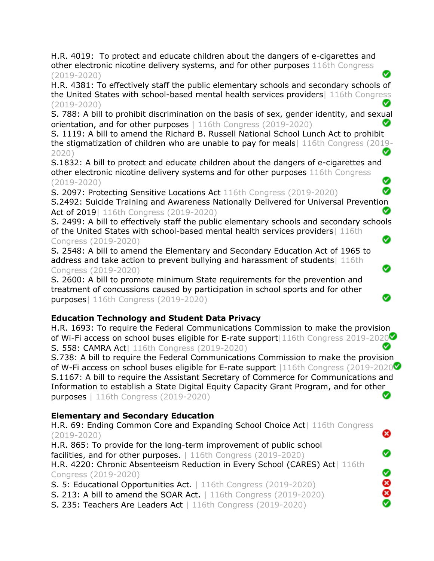H.R. 4019: To protect and educate children about the dangers of e-cigarettes and other electronic nicotine delivery systems, and for other purposes 116th Congress (2019-2020)

H.R. 4381: To effectively staff the public elementary schools and secondary schools of the United States with school-based mental health services providers| 116th Congress (2019-2020)

S. 788: A bill to prohibit discrimination on the basis of sex, gender identity, and sexual orientation, and for other purposes | 116th Congress (2019-2020)

S. 1119: A bill to amend the Richard B. Russell National School Lunch Act to prohibit the stigmatization of children who are unable to pay for meals| 116th Congress (2019- ∞ 2020)

S.1832: A bill to protect and educate children about the dangers of e-cigarettes and other electronic nicotine delivery systems and for other purposes 116th Congress Ø (2019-2020)

S. 2097: Protecting Sensitive Locations Act 116th Congress (2019-2020)

S.2492: Suicide Training and Awareness Nationally Delivered for Universal Prevention Act of 2019 | 116th Congress (2019-2020) Ø

Ø

Ø

Ø

ఴ

Ø

Ø

8<br>8

S. 2499: A bill to effectively staff the public elementary schools and secondary schools of the United States with school-based mental health services providers | 116th Ø

## Congress (2019-2020)

S. 2548: A bill to amend the Elementary and Secondary Education Act of 1965 to address and take action to prevent bullying and harassment of students 116th Congress (2019-2020)

S. 2600: A bill to promote minimum State requirements for the prevention and treatment of concussions caused by participation in school sports and for other purposes| 116th Congress (2019-2020)

## **Education Technology and Student Data Privacy**

H.R. 1693: To require the Federal Communications Commission to make the provision of Wi-Fi access on school buses eligible for E-rate support 116th Congress 2019-2020 Ø S. 558: CAMRA Act| 116th Congress (2019-2020)

S.738: A bill to require the Federal Communications Commission to make the provision of W-Fi access on school buses eligible for E-rate support |116th Congress (2019-2020 $\bullet$ ) S.1167: A bill to require the Assistant Secretary of Commerce for Communications and Information to establish a State Digital Equity Capacity Grant Program, and for other purposes | 116th Congress (2019-2020) Ø

## **Elementary and Secondary Education**

H.R. 69: Ending Common Core and Expanding School Choice Act| 116th Congress (2019-2020)

H.R. 865: To provide for the long-term improvement of public school facilities, and for other purposes. | 116th Congress (2019-2020) H.R. 4220: Chronic Absenteeism Reduction in Every School (CARES) Act | 116th Congress (2019-2020)

S. 5: Educational Opportunities Act. | 116th Congress (2019-2020)

S. 213: A bill to amend the SOAR Act. | 116th Congress (2019-2020)

S. 235: Teachers Are Leaders Act | 116th Congress (2019-2020)